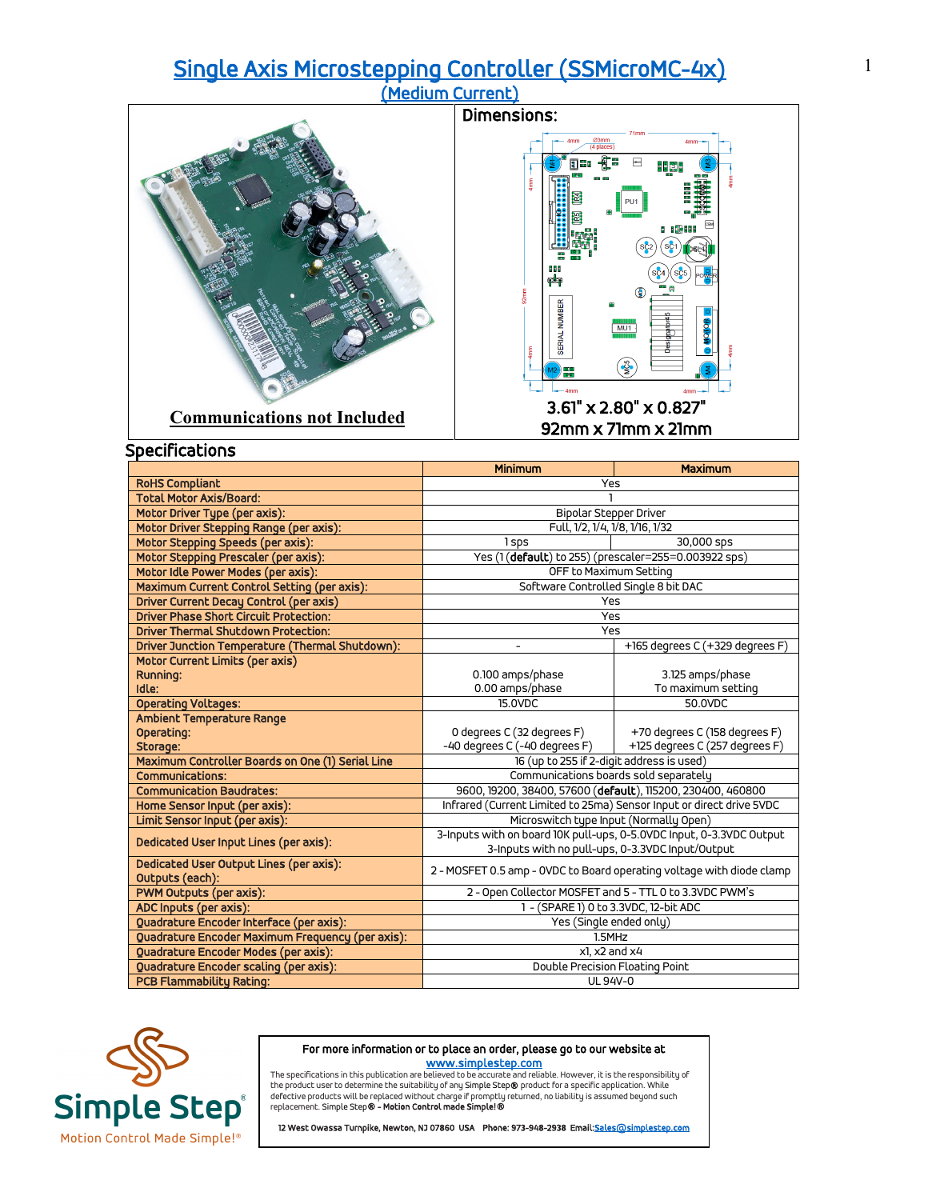## [Single Axis Microstepping Controller \(SSMicroMC-4x\) \(Medium Current\)](https://simplestep.com/product/ssmicromc/)





|                                                            | <b>Minimum</b>                                                                                   | Maximum                         |
|------------------------------------------------------------|--------------------------------------------------------------------------------------------------|---------------------------------|
| <b>RoHS Compliant</b>                                      | Yes                                                                                              |                                 |
| <b>Total Motor Axis/Board:</b>                             |                                                                                                  |                                 |
| Motor Driver Type (per axis):                              | <b>Bipolar Stepper Driver</b>                                                                    |                                 |
| Motor Driver Stepping Range (per axis):                    | Full, 1/2, 1/4, 1/8, 1/16, 1/32                                                                  |                                 |
| Motor Stepping Speeds (per axis):                          | 1sps                                                                                             | 30,000 sps                      |
| Motor Stepping Prescaler (per axis):                       | Yes (1 (default) to 255) (prescaler=255=0.003922 sps)                                            |                                 |
| Motor Idle Power Modes (per axis):                         | OFF to Maximum Setting                                                                           |                                 |
| Maximum Current Control Setting (per axis):                | Software Controlled Single 8 bit DAC                                                             |                                 |
| <b>Driver Current Decay Control (per axis)</b>             | Yes                                                                                              |                                 |
| <b>Driver Phase Short Circuit Protection:</b>              | Yes                                                                                              |                                 |
| <b>Driver Thermal Shutdown Protection:</b>                 | Yes                                                                                              |                                 |
| Driver Junction Temperature (Thermal Shutdown):            |                                                                                                  | +165 degrees C (+329 degrees F) |
| Motor Current Limits (per axis)                            |                                                                                                  |                                 |
| Running:                                                   | 0.100 amps/phase                                                                                 | 3.125 amps/phase                |
| Idle:                                                      | 0.00 amps/phase                                                                                  | To maximum setting              |
| <b>Operating Voltages:</b>                                 | 15.0VDC                                                                                          | 50.0VDC                         |
| Ambient Temperature Range                                  |                                                                                                  |                                 |
| Operating:                                                 | 0 degrees C (32 degrees F)                                                                       | +70 degrees C (158 degrees F)   |
| Storage:                                                   | -40 degrees C (-40 degrees F)                                                                    | +125 degrees C (257 degrees F)  |
| Maximum Controller Boards on One (1) Serial Line           | 16 (up to 255 if 2-digit address is used)                                                        |                                 |
| <b>Communications:</b>                                     | Communications boards sold separately                                                            |                                 |
| <b>Communication Baudrates:</b>                            | 9600, 19200, 38400, 57600 (default), 115200, 230400, 460800                                      |                                 |
| Home Sensor Input (per axis):                              | Infrared (Current Limited to 25ma) Sensor Input or direct drive 5VDC                             |                                 |
| Limit Sensor Input (per axis):                             | Microswitch type Input (Normally Open)                                                           |                                 |
| Dedicated User Input Lines (per axis):                     | 3-Inputs with on board 10K pull-ups, 0-5.0VDC Input, 0-3.3VDC Output                             |                                 |
|                                                            | 3-Inputs with no pull-ups, 0-3.3VDC Input/Output                                                 |                                 |
| Dedicated User Output Lines (per axis):<br>Outputs (each): | 2 - MOSFET 0.5 amp - OVDC to Board operating voltage with diode clamp                            |                                 |
| PWM Outputs (per axis):                                    |                                                                                                  |                                 |
| ADC Inputs (per axis):                                     | 2 - Open Collector MOSFET and 5 - TTL 0 to 3.3VDC PWM's<br>1 - (SPARE 1) 0 to 3.3VDC, 12-bit ADC |                                 |
| Quadrature Encoder Interface (per axis):                   | Yes (Single ended only)                                                                          |                                 |
| Quadrature Encoder Maximum Frequency (per axis):           | 1.5MHz                                                                                           |                                 |
| Quadrature Encoder Modes (per axis):                       | x1. x2 and x4                                                                                    |                                 |
| Quadrature Encoder scaling (per axis):                     | Double Precision Floating Point                                                                  |                                 |
| <b>PCB Flammability Rating:</b>                            | <b>UL 94V-0</b>                                                                                  |                                 |
|                                                            |                                                                                                  |                                 |



#### For more information or to place an order, please go to our website at

www.s<mark>implestep.com</mark><br>The specifications in this publication are believed to be accurate and reliable. However, it is the responsibility of<br>the product user to determine the suitability of any Simple Step**®** product for a s replacement. Simple Step® - Motion Control made Simple!®

12 West Owassa Turnpike, Newton, NJ 07860 USA Phone: 973-948-2938 Email: Sales@simplestep.com